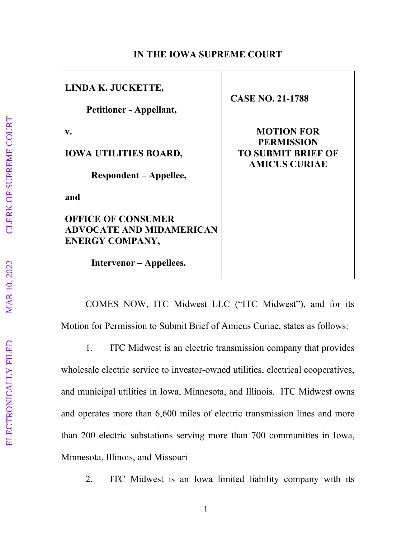## **IN THE IOWA SUPREME COURT**

| LINDA K. JUCKETTE,<br><b>Petitioner - Appellant,</b>                                        | <b>CASE NO. 21-1788</b>                                                                     |
|---------------------------------------------------------------------------------------------|---------------------------------------------------------------------------------------------|
| V.<br><b>IOWA UTILITIES BOARD,</b><br>Respondent – Appellee,                                | <b>MOTION FOR</b><br><b>PERMISSION</b><br><b>TO SUBMIT BRIEF OF</b><br><b>AMICUS CURIAE</b> |
| and<br><b>OFFICE OF CONSUMER</b>                                                            |                                                                                             |
| <b>ADVOCATE AND MIDAMERICAN</b><br><b>ENERGY COMPANY,</b><br><b>Intervenor</b> – Appellees. |                                                                                             |

COMES NOW, ITC Midwest LLC ("ITC Midwest"), and for its Motion for Permission to Submit Brief of Amicus Curiae, states as follows:

1. ITC Midwest is an electric transmission company that provides

wholesale electric service to investor-owned utilities, electrical cooperatives, and municipal utilities in Iowa, Minnesota, and Illinois. ITC Midwest owns and operates more than 6,600 miles of electric transmission lines and more than 200 electric substations serving more than 700 communities in Iowa, Minnesota, Illinois, and Missouri

2. ITC Midwest is an Iowa limited liability company with its

Г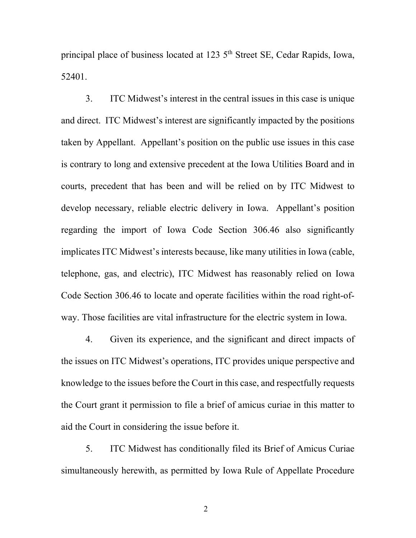principal place of business located at 123 5<sup>th</sup> Street SE, Cedar Rapids, Iowa, 52401.

3. ITC Midwest's interest in the central issues in this case is unique and direct. ITC Midwest's interest are significantly impacted by the positions taken by Appellant. Appellant's position on the public use issues in this case is contrary to long and extensive precedent at the Iowa Utilities Board and in courts, precedent that has been and will be relied on by ITC Midwest to develop necessary, reliable electric delivery in Iowa. Appellant's position regarding the import of Iowa Code Section 306.46 also significantly implicates ITC Midwest's interests because, like many utilities in Iowa (cable, telephone, gas, and electric), ITC Midwest has reasonably relied on Iowa Code Section 306.46 to locate and operate facilities within the road right-ofway. Those facilities are vital infrastructure for the electric system in Iowa.

4. Given its experience, and the significant and direct impacts of the issues on ITC Midwest's operations, ITC provides unique perspective and knowledge to the issues before the Court in this case, and respectfully requests the Court grant it permission to file a brief of amicus curiae in this matter to aid the Court in considering the issue before it.

5. ITC Midwest has conditionally filed its Brief of Amicus Curiae simultaneously herewith, as permitted by Iowa Rule of Appellate Procedure

2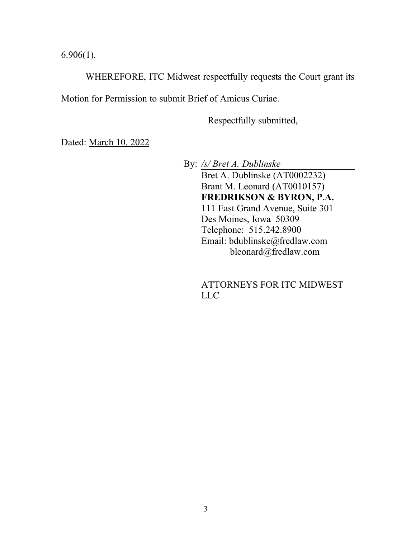6.906(1).

WHEREFORE, ITC Midwest respectfully requests the Court grant its

Motion for Permission to submit Brief of Amicus Curiae.

Respectfully submitted,

Dated: March 10, 2022

By: */s/ Bret A. Dublinske* Bret A. Dublinske (AT0002232) Brant M. Leonard (AT0010157) **FREDRIKSON & BYRON, P.A.** 111 East Grand Avenue, Suite 301 Des Moines, Iowa 50309 Telephone: 515.242.8900 Email: bdublinske@fredlaw.com bleonard@fredlaw.com

> ATTORNEYS FOR ITC MIDWEST LLC